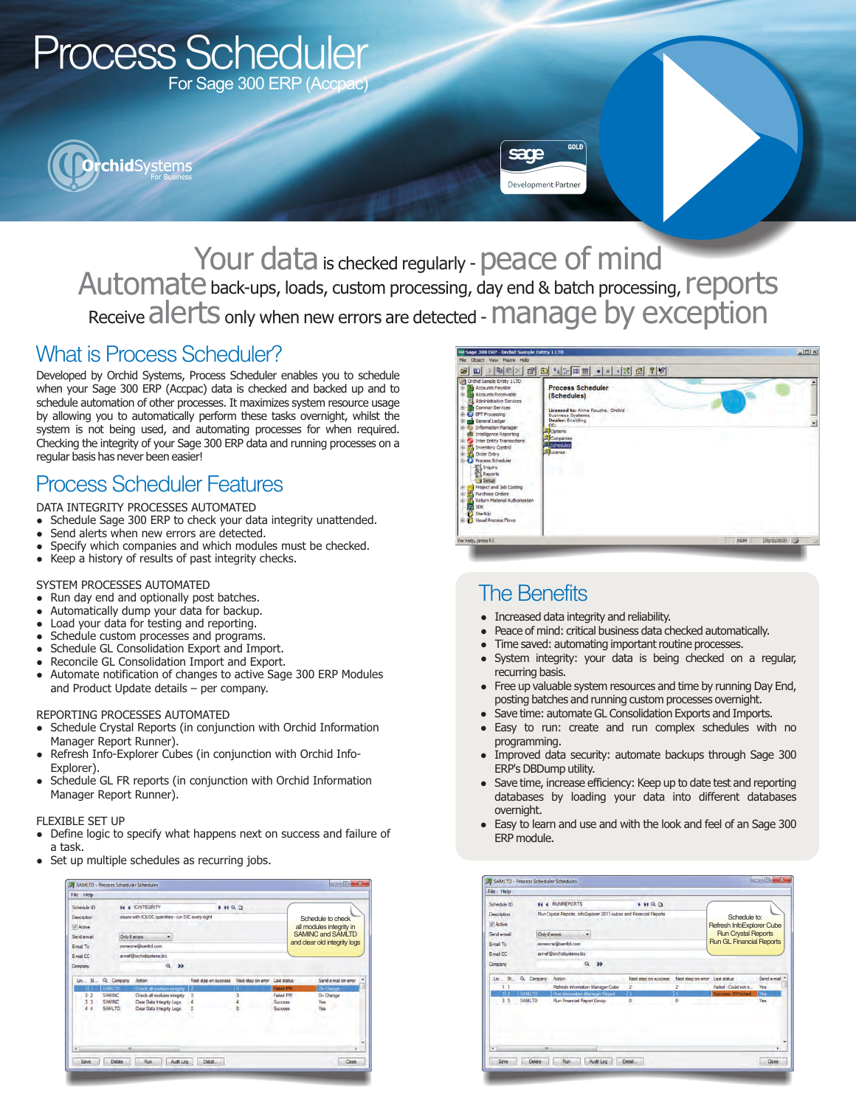

Your data is checked regularly - peace of mind Automate back-ups, loads, custom processing, day end & batch processing, reports Receive alerts only when new errors are detected - manage by exception

### What is Process Scheduler?

Developed by Orchid Systems, Process Scheduler enables you to schedule when your Sage 300 ERP (Accpac) data is checked and backed up and to schedule automation of other processes. It maximizes system resource usage by allowing you to automatically perform these tasks overnight, whilst the system is not being used, and automating processes for when required. Checking the integrity of your Sage 300 ERP data and running processes on a regular basis has never been easier!

# Process Scheduler Features

DATA INTEGRITY PROCESSES AUTOMATED

- Schedule Sage 300 ERP to check your data integrity unattended.
- Send alerts when new errors are detected.
- Specify which companies and which modules must be checked.
- Keep a history of results of past integrity checks.

#### SYSTEM PROCESSES AUTOMATED

- Run day end and optionally post batches.
- Automatically dump your data for backup.
- Load your data for testing and reporting.
- Schedule custom processes and programs.
- Schedule GL Consolidation Export and Import.
- Reconcile GL Consolidation Import and Export.
- Automate notification of changes to active Sage 300 ERP Modules and Product Update details – per company.

#### REPORTING PROCESSES AUTOMATED

- Schedule Crystal Reports (in conjunction with Orchid Information Manager Report Runner).
- Refresh Info-Explorer Cubes (in conjunction with Orchid Info-Explorer).
- Schedule GL FR reports (in conjunction with Orchid Information Manager Report Runner).

#### FLEXIBLE SET UP

- Define logic to specify what happens next on success and failure of a task.
- Set up multiple schedules as recurring jobs.

| Schedule ID                  |                | <b>14 4 ICINTEGRITY</b>                              | HQD                  |                    |                  |                              |
|------------------------------|----------------|------------------------------------------------------|----------------------|--------------------|------------------|------------------------------|
| <b>Description</b>           |                | issues with ICILOC quantities - run DIC every night. |                      |                    |                  | Schedule to check            |
| V Active                     |                |                                                      |                      |                    |                  | all modules integrity in     |
|                              |                |                                                      |                      |                    |                  | <b>SAMINC and SAMLTD</b>     |
| Send e-mail                  | Only if emprs  | ۰                                                    |                      |                    |                  | and clear old integrity logs |
| E-mail To                    |                | someone@samitd.com                                   |                      |                    |                  |                              |
| F-mail CC                    |                | annel@orchidsystems.biz.                             |                      |                    |                  |                              |
| Company                      |                | $Q \rightarrow P$                                    |                      |                    |                  |                              |
|                              |                |                                                      |                      |                    |                  |                              |
|                              |                |                                                      |                      |                    |                  |                              |
| $\mathsf{Lin}$ $\mathsf{S}$  | Q Company      | Action                                               | Next step on success | Next step on error | Last status      | Send e-mail on error         |
|                              | <b>SAMLTD</b>  | Check all modules integrity                          |                      |                    | <b>Failed PM</b> | <b>On Change</b>             |
| 2 <sub>2</sub>               | <b>SAMING</b>  | Check all modules integrity                          | 3                    |                    | <b>Failed PM</b> | On Change                    |
| $\overline{\mathbf{3}}$<br>3 | <b>SAMING</b>  | Clear Data Integrity Logs                            |                      |                    | Sunness          | Yes                          |
| 44                           | <b>SAMI TD</b> | Clear Data Integrity Logs                            | o                    |                    | <b>Success</b>   | Yes                          |
|                              |                |                                                      |                      |                    |                  |                              |
|                              |                |                                                      |                      |                    |                  |                              |
|                              |                |                                                      |                      |                    |                  |                              |
| $\overline{t}$               |                |                                                      |                      |                    |                  | ¥                            |



## The Benefits

- Increased data integrity and reliability.
- Peace of mind: critical business data checked automatically.
- Time saved: automating important routine processes.
- System integrity: your data is being checked on a regular, recurring basis.
- Free up valuable system resources and time by running Day End, posting batches and running custom processes overnight.
- Save time: automate GL Consolidation Exports and Imports.
- Easy to run: create and run complex schedules with no programming.
- Improved data security: automate backups through Sage 300 ERP's DBDump utility.
- Save time, increase efficiency: Keep up to date test and reporting databases by loading your data into different databases overnight.
- Easy to learn and use and with the look and feel of an Sage 300 ERP module.

| Schedule ID<br><b>Description</b>                       |                | <b>I4 4 RUNREPORTS</b><br>P H Q                                     |                                 |                    |                            |             |
|---------------------------------------------------------|----------------|---------------------------------------------------------------------|---------------------------------|--------------------|----------------------------|-------------|
|                                                         |                | Run Crystal Reports, InfoExplorer 2011 cubes and Financial Reports  | Schedule to:                    |                    |                            |             |
| V Active                                                |                |                                                                     |                                 |                    | Refresh InfoExplorer Cube  |             |
| Send e-mail                                             | Only if errors |                                                                     |                                 |                    | <b>Run Crystal Reports</b> |             |
| E-mail To                                               |                | someone@samhd.com                                                   | <b>Run GL Financial Reports</b> |                    |                            |             |
| E-mail CC                                               |                | annel @orchidsystems biz                                            |                                 |                    |                            |             |
| Company                                                 |                | $Q$ 33                                                              |                                 |                    |                            |             |
| Lin St Q. Company                                       |                | Action                                                              | Next step on success            | Next step on error | Last status.               | Send e-mail |
|                                                         |                | Refresh Information Manager Cube                                    | $\overline{c}$                  |                    | Faled - Could not e        | Yes         |
| <b>SAMLTD</b><br>212<br>3 <sup>3</sup><br><b>SAMLTD</b> |                | <b>Run Information Manager Report</b><br>Run Financial Report Group | в<br>$\overline{a}$             |                    | Success, RRSched.          | Yes<br>Yes  |
|                                                         |                |                                                                     |                                 |                    |                            |             |
|                                                         |                |                                                                     |                                 |                    |                            |             |